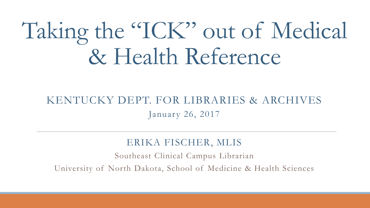# Taking the "ICK" out of Medical & Health Reference

#### KENTUCKY DEPT. FOR LIBRARIES & ARCHIVES January 26, 2017

#### ERIKA FISCHER, MLIS

Southeast Clinical Campus Librarian

University of North Dakota, School of Medicine & Health Sciences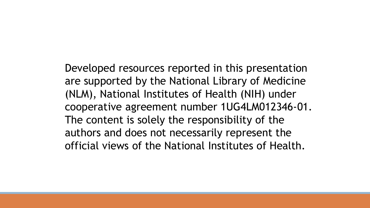Developed resources reported in this presentation are supported by the National Library of Medicine (NLM), National Institutes of Health (NIH) under cooperative agreement number 1UG4LM012346-01. The content is solely the responsibility of the authors and does not necessarily represent the official views of the National Institutes of Health.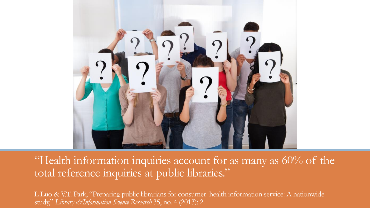

"Health information inquiries account for as many as 60% of the total reference inquiries at public libraries."

L Luo & V.T. Park, "Preparing public librarians for consumer health information service: A nationwide study, " *Library &Information Science Research* 35, no. 4 (2013): 2.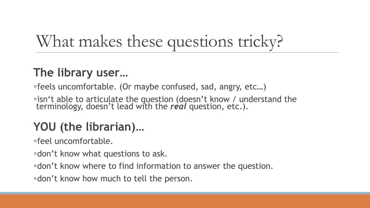# What makes these questions tricky?

#### **The library user…**

feels uncomfortable. (Or maybe confused, sad, angry, etc…)

isn't able to articulate the question (doesn't know / understand the terminology, doesn't lead with the *real* question, etc.).

#### **YOU (the librarian)…**

feel uncomfortable.

don't know what questions to ask.

don't know where to find information to answer the question.

don't know how much to tell the person.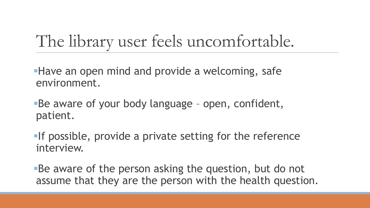## The library user feels uncomfortable.

**Have an open mind and provide a welcoming, safe** environment.

Be aware of your body language – open, confident, patient.

If possible, provide a private setting for the reference interview.

■Be aware of the person asking the question, but do not assume that they are the person with the health question.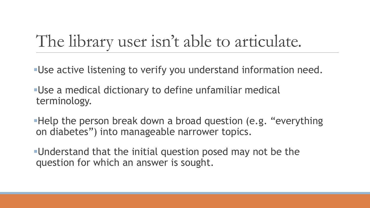## The library user isn't able to articulate.

- Use active listening to verify you understand information need.
- Use a medical dictionary to define unfamiliar medical terminology.
- **Help the person break down a broad question (e.g. "everything"** on diabetes") into manageable narrower topics.
- Understand that the initial question posed may not be the question for which an answer is sought.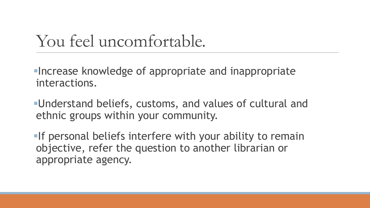## You feel uncomfortable.

**Increase knowledge of appropriate and inappropriate** interactions.

Understand beliefs, customs, and values of cultural and ethnic groups within your community.

**If personal beliefs interfere with your ability to remain** objective, refer the question to another librarian or appropriate agency.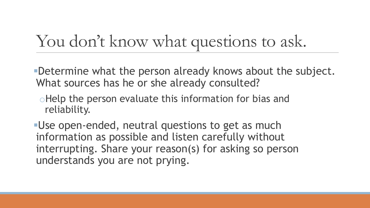## You don't know what questions to ask.

Determine what the person already knows about the subject. What sources has he or she already consulted?

oHelp the person evaluate this information for bias and reliability.

Use open-ended, neutral questions to get as much information as possible and listen carefully without interrupting. Share your reason(s) for asking so person understands you are not prying.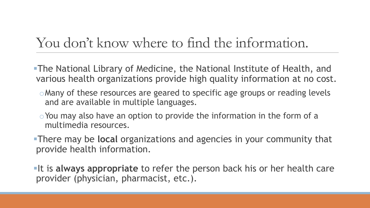#### You don't know where to find the information.

- The National Library of Medicine, the National Institute of Health, and various health organizations provide high quality information at no cost.
	- oMany of these resources are geared to specific age groups or reading levels and are available in multiple languages.
	- $\circ$  You may also have an option to provide the information in the form of a multimedia resources.
- There may be **local** organizations and agencies in your community that provide health information.
- **If is always appropriate** to refer the person back his or her health care provider (physician, pharmacist, etc.).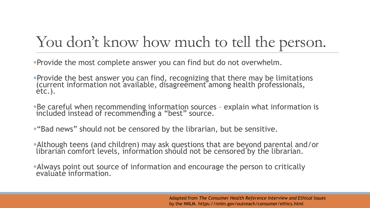## You don't know how much to tell the person.

Provide the most complete answer you can find but do not overwhelm.

- Provide the best answer you can find, recognizing that there may be limitations (current information not available, disagreement among health professionals, etc.).
- Be careful when recommending information sources explain what information is included instead of recommending a "best" source.
- **"**"Bad news" should not be censored by the librarian, but be sensitive.
- Although teens (and children) may ask questions that are beyond parental and/or librarian comfort levels, information should not be censored by the librarian.
- Always point out source of information and encourage the person to critically evaluate information.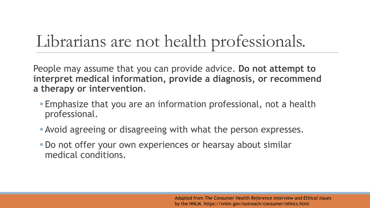# Librarians are not health professionals.

People may assume that you can provide advice. **Do not attempt to interpret medical information, provide a diagnosis, or recommend a therapy or intervention**.

- Emphasize that you are an information professional, not a health professional.
- Avoid agreeing or disagreeing with what the person expresses.
- Do not offer your own experiences or hearsay about similar medical conditions.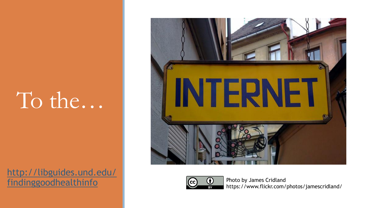# To the…

[http://libguides.und.edu/](http://libguides.und.edu/findinggoodhealthinfo) Findinggoodhealthinfo CC C Photo by James Cridland





https://www.flickr.com/photos/jamescridland/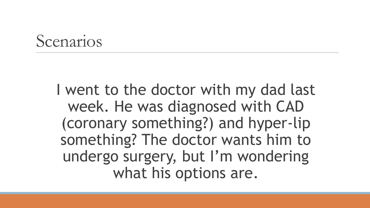I went to the doctor with my dad last week. He was diagnosed with CAD (coronary something?) and hyper-lip something? The doctor wants him to undergo surgery, but I'm wondering what his options are.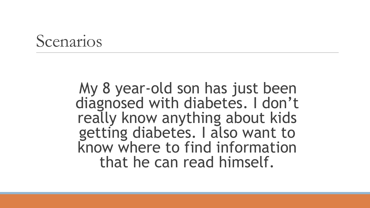My 8 year-old son has just been diagnosed with diabetes. I don't really know anything about kids getting diabetes. I also want to know where to find information that he can read himself.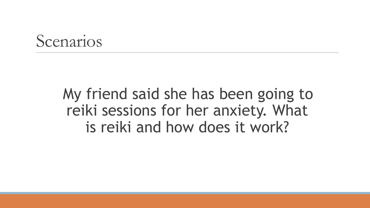### My friend said she has been going to reiki sessions for her anxiety. What is reiki and how does it work?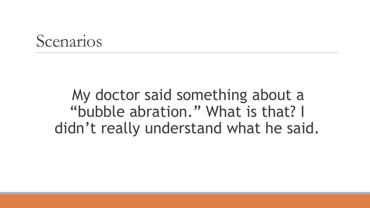

## My doctor said something about a "bubble abration." What is that? I didn't really understand what he said.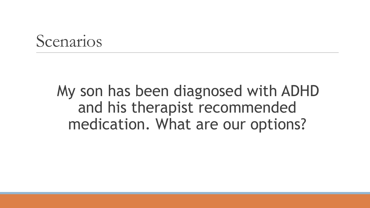### My son has been diagnosed with ADHD and his therapist recommended medication. What are our options?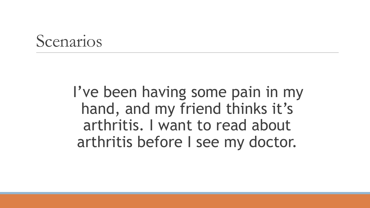I've been having some pain in my hand, and my friend thinks it's arthritis. I want to read about arthritis before I see my doctor.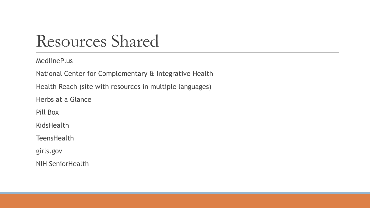## Resources Shared

MedlinePlus

National Center for Complementary & Integrative Health

Health Reach (site with resources in multiple languages)

Herbs at a Glance

Pill Box

KidsHealth

**TeensHealth** 

girls.gov

NIH SeniorHealth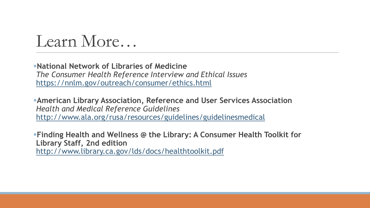### Learn More…

**National Network of Libraries of Medicine**  *The Consumer Health Reference Interview and Ethical Issues*  <https://nnlm.gov/outreach/consumer/ethics.html>

**American Library Association, Reference and User Services Association** *Health and Medical Reference Guidelines*  <http://www.ala.org/rusa/resources/guidelines/guidelinesmedical>

**Finding Health and Wellness @ the Library: A Consumer Health Toolkit for Library Staff, 2nd edition** <http://www.library.ca.gov/lds/docs/healthtoolkit.pdf>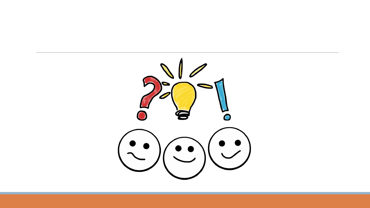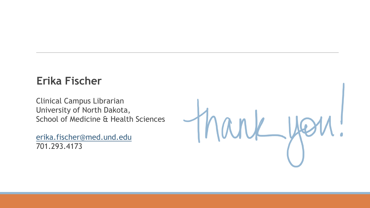#### **Erika Fischer**

Clinical Campus Librarian University of North Dakota, School of Medicine & Health Sciences

[erika.fischer@med.und.edu](mailto:erika.fischer@med.und.edu) 701.293.4173

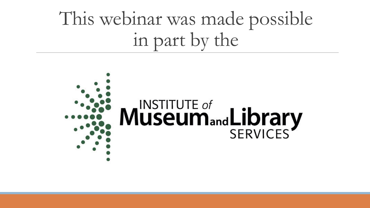# This webinar was made possible in part by the